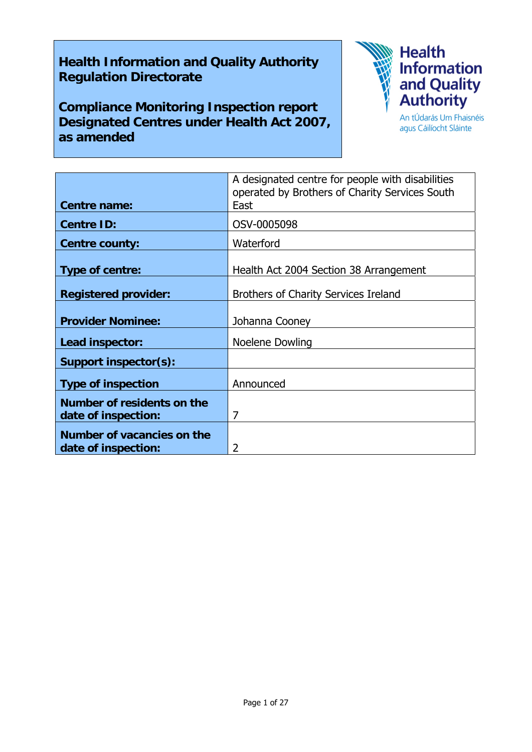# **Health Information and Quality Authority Regulation Directorate**

**Compliance Monitoring Inspection report Designated Centres under Health Act 2007, as amended** 



agus Cáilíocht Sláinte

|                             | A designated centre for people with disabilities<br>operated by Brothers of Charity Services South |
|-----------------------------|----------------------------------------------------------------------------------------------------|
| <b>Centre name:</b>         | East                                                                                               |
| <b>Centre ID:</b>           | OSV-0005098                                                                                        |
| <b>Centre county:</b>       | Waterford                                                                                          |
| Type of centre:             | Health Act 2004 Section 38 Arrangement                                                             |
| <b>Registered provider:</b> | <b>Brothers of Charity Services Ireland</b>                                                        |
| <b>Provider Nominee:</b>    | Johanna Cooney                                                                                     |
| Lead inspector:             | Noelene Dowling                                                                                    |
| Support inspector(s):       |                                                                                                    |
| <b>Type of inspection</b>   | Announced                                                                                          |
| Number of residents on the  |                                                                                                    |
| date of inspection:         | 7                                                                                                  |
| Number of vacancies on the  |                                                                                                    |
| date of inspection:         | 2                                                                                                  |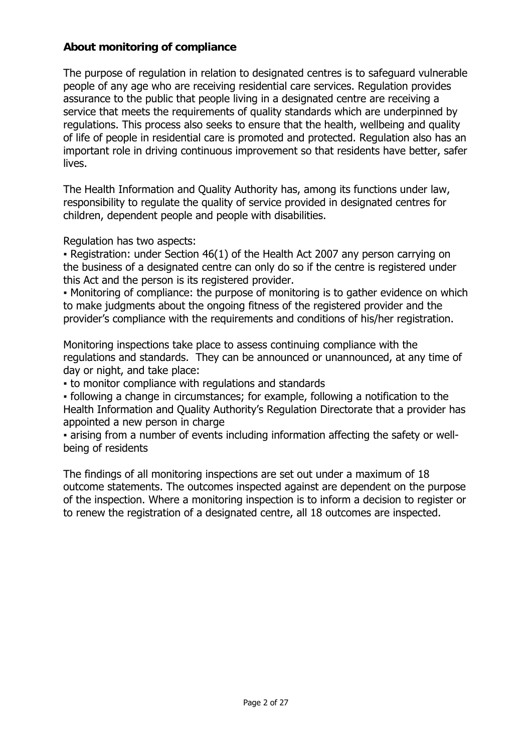### **About monitoring of compliance**

The purpose of regulation in relation to designated centres is to safeguard vulnerable people of any age who are receiving residential care services. Regulation provides assurance to the public that people living in a designated centre are receiving a service that meets the requirements of quality standards which are underpinned by regulations. This process also seeks to ensure that the health, wellbeing and quality of life of people in residential care is promoted and protected. Regulation also has an important role in driving continuous improvement so that residents have better, safer lives.

The Health Information and Quality Authority has, among its functions under law, responsibility to regulate the quality of service provided in designated centres for children, dependent people and people with disabilities.

Regulation has two aspects:

• Registration: under Section 46(1) of the Health Act 2007 any person carrying on the business of a designated centre can only do so if the centre is registered under this Act and the person is its registered provider.

▪ Monitoring of compliance: the purpose of monitoring is to gather evidence on which to make judgments about the ongoing fitness of the registered provider and the provider's compliance with the requirements and conditions of his/her registration.

Monitoring inspections take place to assess continuing compliance with the regulations and standards. They can be announced or unannounced, at any time of day or night, and take place:

▪ to monitor compliance with regulations and standards

▪ following a change in circumstances; for example, following a notification to the Health Information and Quality Authority's Regulation Directorate that a provider has appointed a new person in charge

▪ arising from a number of events including information affecting the safety or wellbeing of residents

The findings of all monitoring inspections are set out under a maximum of 18 outcome statements. The outcomes inspected against are dependent on the purpose of the inspection. Where a monitoring inspection is to inform a decision to register or to renew the registration of a designated centre, all 18 outcomes are inspected.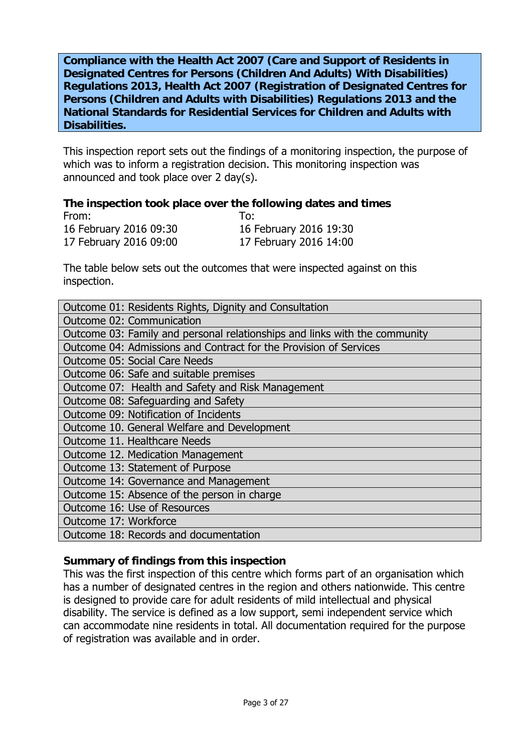**Compliance with the Health Act 2007 (Care and Support of Residents in Designated Centres for Persons (Children And Adults) With Disabilities) Regulations 2013, Health Act 2007 (Registration of Designated Centres for Persons (Children and Adults with Disabilities) Regulations 2013 and the National Standards for Residential Services for Children and Adults with Disabilities.**

This inspection report sets out the findings of a monitoring inspection, the purpose of which was to inform a registration decision. This monitoring inspection was announced and took place over 2 day(s).

#### **The inspection took place over the following dates and times**

| From:                  | To:                    |
|------------------------|------------------------|
| 16 February 2016 09:30 | 16 February 2016 19:30 |
| 17 February 2016 09:00 | 17 February 2016 14:00 |

The table below sets out the outcomes that were inspected against on this inspection.

| Outcome 01: Residents Rights, Dignity and Consultation                     |  |  |
|----------------------------------------------------------------------------|--|--|
| Outcome 02: Communication                                                  |  |  |
| Outcome 03: Family and personal relationships and links with the community |  |  |
| Outcome 04: Admissions and Contract for the Provision of Services          |  |  |
| <b>Outcome 05: Social Care Needs</b>                                       |  |  |
| Outcome 06: Safe and suitable premises                                     |  |  |
| Outcome 07: Health and Safety and Risk Management                          |  |  |
| Outcome 08: Safeguarding and Safety                                        |  |  |
| Outcome 09: Notification of Incidents                                      |  |  |
| Outcome 10. General Welfare and Development                                |  |  |
| Outcome 11. Healthcare Needs                                               |  |  |
| Outcome 12. Medication Management                                          |  |  |
| Outcome 13: Statement of Purpose                                           |  |  |
| Outcome 14: Governance and Management                                      |  |  |
| Outcome 15: Absence of the person in charge                                |  |  |
| Outcome 16: Use of Resources                                               |  |  |
| Outcome 17: Workforce                                                      |  |  |
| Outcome 18: Records and documentation                                      |  |  |

#### **Summary of findings from this inspection**

This was the first inspection of this centre which forms part of an organisation which has a number of designated centres in the region and others nationwide. This centre is designed to provide care for adult residents of mild intellectual and physical disability. The service is defined as a low support, semi independent service which can accommodate nine residents in total. All documentation required for the purpose of registration was available and in order.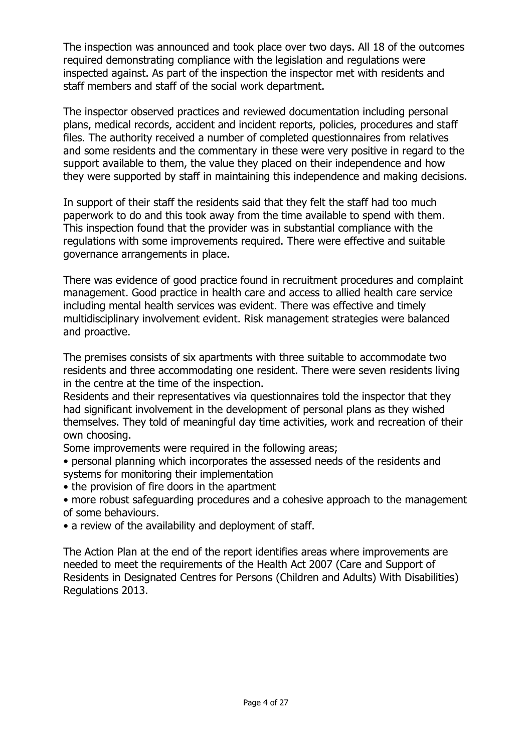The inspection was announced and took place over two days. All 18 of the outcomes required demonstrating compliance with the legislation and regulations were inspected against. As part of the inspection the inspector met with residents and staff members and staff of the social work department.

The inspector observed practices and reviewed documentation including personal plans, medical records, accident and incident reports, policies, procedures and staff files. The authority received a number of completed questionnaires from relatives and some residents and the commentary in these were very positive in regard to the support available to them, the value they placed on their independence and how they were supported by staff in maintaining this independence and making decisions.

In support of their staff the residents said that they felt the staff had too much paperwork to do and this took away from the time available to spend with them. This inspection found that the provider was in substantial compliance with the regulations with some improvements required. There were effective and suitable governance arrangements in place.

There was evidence of good practice found in recruitment procedures and complaint management. Good practice in health care and access to allied health care service including mental health services was evident. There was effective and timely multidisciplinary involvement evident. Risk management strategies were balanced and proactive.

The premises consists of six apartments with three suitable to accommodate two residents and three accommodating one resident. There were seven residents living in the centre at the time of the inspection.

Residents and their representatives via questionnaires told the inspector that they had significant involvement in the development of personal plans as they wished themselves. They told of meaningful day time activities, work and recreation of their own choosing.

Some improvements were required in the following areas;

- personal planning which incorporates the assessed needs of the residents and systems for monitoring their implementation
- the provision of fire doors in the apartment
- more robust safeguarding procedures and a cohesive approach to the management of some behaviours.
- a review of the availability and deployment of staff.

The Action Plan at the end of the report identifies areas where improvements are needed to meet the requirements of the Health Act 2007 (Care and Support of Residents in Designated Centres for Persons (Children and Adults) With Disabilities) Regulations 2013.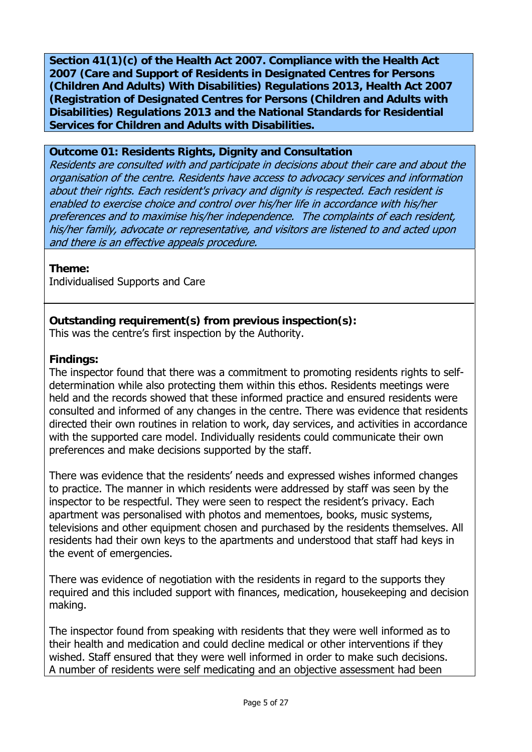**Section 41(1)(c) of the Health Act 2007. Compliance with the Health Act 2007 (Care and Support of Residents in Designated Centres for Persons (Children And Adults) With Disabilities) Regulations 2013, Health Act 2007 (Registration of Designated Centres for Persons (Children and Adults with Disabilities) Regulations 2013 and the National Standards for Residential Services for Children and Adults with Disabilities.** 

#### **Outcome 01: Residents Rights, Dignity and Consultation**

Residents are consulted with and participate in decisions about their care and about the organisation of the centre. Residents have access to advocacy services and information about their rights. Each resident's privacy and dignity is respected. Each resident is enabled to exercise choice and control over his/her life in accordance with his/her preferences and to maximise his/her independence. The complaints of each resident, his/her family, advocate or representative, and visitors are listened to and acted upon and there is an effective appeals procedure.

**Theme:** 

Individualised Supports and Care

# **Outstanding requirement(s) from previous inspection(s):**

This was the centre's first inspection by the Authority.

#### **Findings:**

The inspector found that there was a commitment to promoting residents rights to selfdetermination while also protecting them within this ethos. Residents meetings were held and the records showed that these informed practice and ensured residents were consulted and informed of any changes in the centre. There was evidence that residents directed their own routines in relation to work, day services, and activities in accordance with the supported care model. Individually residents could communicate their own preferences and make decisions supported by the staff.

There was evidence that the residents' needs and expressed wishes informed changes to practice. The manner in which residents were addressed by staff was seen by the inspector to be respectful. They were seen to respect the resident's privacy. Each apartment was personalised with photos and mementoes, books, music systems, televisions and other equipment chosen and purchased by the residents themselves. All residents had their own keys to the apartments and understood that staff had keys in the event of emergencies.

There was evidence of negotiation with the residents in regard to the supports they required and this included support with finances, medication, housekeeping and decision making.

The inspector found from speaking with residents that they were well informed as to their health and medication and could decline medical or other interventions if they wished. Staff ensured that they were well informed in order to make such decisions. A number of residents were self medicating and an objective assessment had been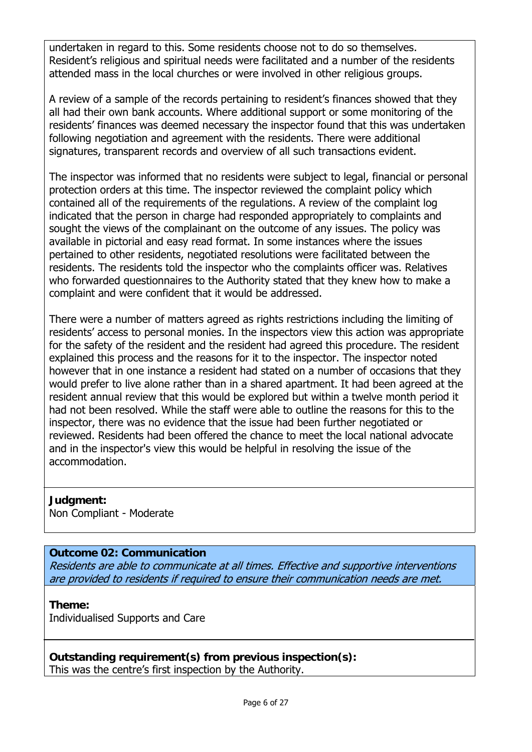undertaken in regard to this. Some residents choose not to do so themselves. Resident's religious and spiritual needs were facilitated and a number of the residents attended mass in the local churches or were involved in other religious groups.

A review of a sample of the records pertaining to resident's finances showed that they all had their own bank accounts. Where additional support or some monitoring of the residents' finances was deemed necessary the inspector found that this was undertaken following negotiation and agreement with the residents. There were additional signatures, transparent records and overview of all such transactions evident.

The inspector was informed that no residents were subject to legal, financial or personal protection orders at this time. The inspector reviewed the complaint policy which contained all of the requirements of the regulations. A review of the complaint log indicated that the person in charge had responded appropriately to complaints and sought the views of the complainant on the outcome of any issues. The policy was available in pictorial and easy read format. In some instances where the issues pertained to other residents, negotiated resolutions were facilitated between the residents. The residents told the inspector who the complaints officer was. Relatives who forwarded questionnaires to the Authority stated that they knew how to make a complaint and were confident that it would be addressed.

There were a number of matters agreed as rights restrictions including the limiting of residents' access to personal monies. In the inspectors view this action was appropriate for the safety of the resident and the resident had agreed this procedure. The resident explained this process and the reasons for it to the inspector. The inspector noted however that in one instance a resident had stated on a number of occasions that they would prefer to live alone rather than in a shared apartment. It had been agreed at the resident annual review that this would be explored but within a twelve month period it had not been resolved. While the staff were able to outline the reasons for this to the inspector, there was no evidence that the issue had been further negotiated or reviewed. Residents had been offered the chance to meet the local national advocate and in the inspector's view this would be helpful in resolving the issue of the accommodation.

**Judgment:** Non Compliant - Moderate

# **Outcome 02: Communication**

Residents are able to communicate at all times. Effective and supportive interventions are provided to residents if required to ensure their communication needs are met.

#### **Theme:**

Individualised Supports and Care

**Outstanding requirement(s) from previous inspection(s):** This was the centre's first inspection by the Authority.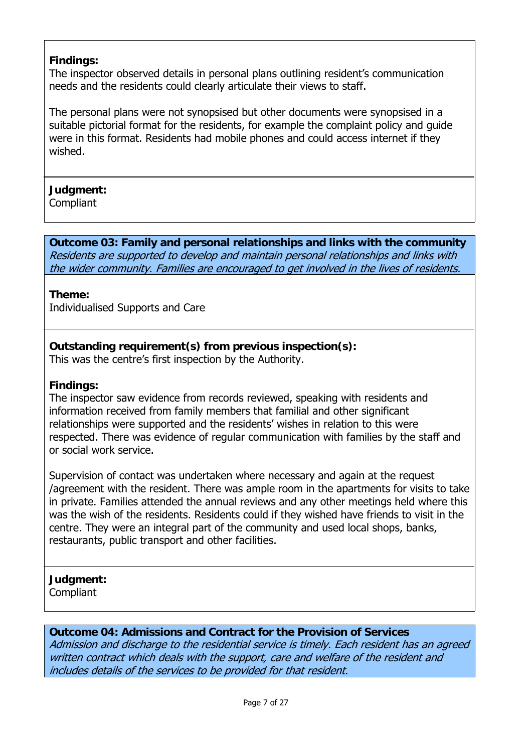# **Findings:**

The inspector observed details in personal plans outlining resident's communication needs and the residents could clearly articulate their views to staff.

The personal plans were not synopsised but other documents were synopsised in a suitable pictorial format for the residents, for example the complaint policy and guide were in this format. Residents had mobile phones and could access internet if they wished.

# **Judgment:**

Compliant

**Outcome 03: Family and personal relationships and links with the community**  Residents are supported to develop and maintain personal relationships and links with the wider community. Families are encouraged to get involved in the lives of residents.

#### **Theme:**

Individualised Supports and Care

**Outstanding requirement(s) from previous inspection(s):** This was the centre's first inspection by the Authority.

#### **Findings:**

The inspector saw evidence from records reviewed, speaking with residents and information received from family members that familial and other significant relationships were supported and the residents' wishes in relation to this were respected. There was evidence of regular communication with families by the staff and or social work service.

Supervision of contact was undertaken where necessary and again at the request /agreement with the resident. There was ample room in the apartments for visits to take in private. Families attended the annual reviews and any other meetings held where this was the wish of the residents. Residents could if they wished have friends to visit in the centre. They were an integral part of the community and used local shops, banks, restaurants, public transport and other facilities.

# **Judgment:**

**Compliant** 

# **Outcome 04: Admissions and Contract for the Provision of Services**

Admission and discharge to the residential service is timely. Each resident has an agreed written contract which deals with the support, care and welfare of the resident and includes details of the services to be provided for that resident.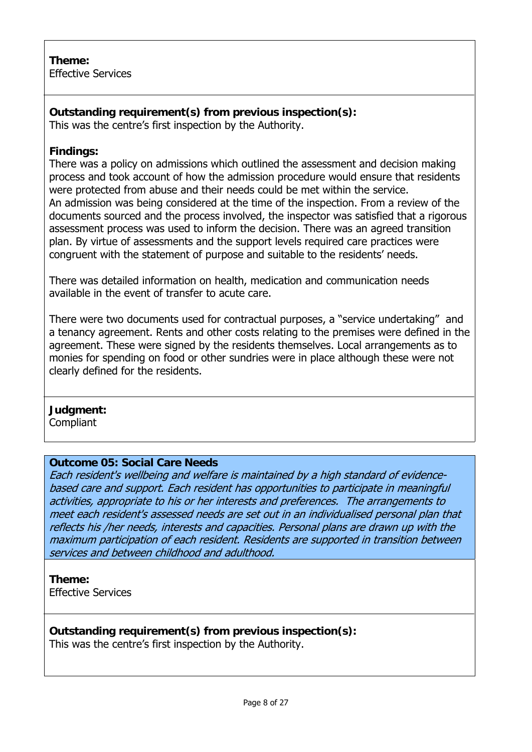### **Theme:**  Effective Services

**Outstanding requirement(s) from previous inspection(s):** This was the centre's first inspection by the Authority.

### **Findings:**

There was a policy on admissions which outlined the assessment and decision making process and took account of how the admission procedure would ensure that residents were protected from abuse and their needs could be met within the service. An admission was being considered at the time of the inspection. From a review of the documents sourced and the process involved, the inspector was satisfied that a rigorous assessment process was used to inform the decision. There was an agreed transition plan. By virtue of assessments and the support levels required care practices were congruent with the statement of purpose and suitable to the residents' needs.

There was detailed information on health, medication and communication needs available in the event of transfer to acute care.

There were two documents used for contractual purposes, a "service undertaking" and a tenancy agreement. Rents and other costs relating to the premises were defined in the agreement. These were signed by the residents themselves. Local arrangements as to monies for spending on food or other sundries were in place although these were not clearly defined for the residents.

# **Judgment:**

**Compliant** 

#### **Outcome 05: Social Care Needs**

Each resident's wellbeing and welfare is maintained by a high standard of evidencebased care and support. Each resident has opportunities to participate in meaningful activities, appropriate to his or her interests and preferences. The arrangements to meet each resident's assessed needs are set out in an individualised personal plan that reflects his /her needs, interests and capacities. Personal plans are drawn up with the maximum participation of each resident. Residents are supported in transition between services and between childhood and adulthood.

# **Theme:**

Effective Services

**Outstanding requirement(s) from previous inspection(s):** This was the centre's first inspection by the Authority.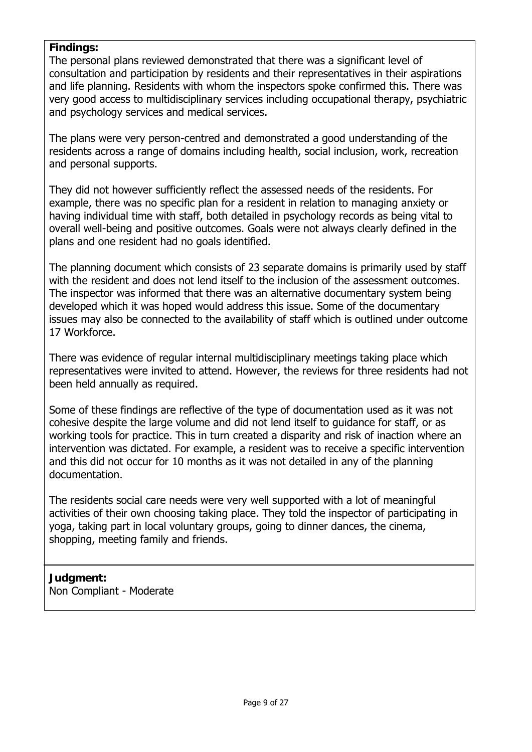#### **Findings:**

The personal plans reviewed demonstrated that there was a significant level of consultation and participation by residents and their representatives in their aspirations and life planning. Residents with whom the inspectors spoke confirmed this. There was very good access to multidisciplinary services including occupational therapy, psychiatric and psychology services and medical services.

The plans were very person-centred and demonstrated a good understanding of the residents across a range of domains including health, social inclusion, work, recreation and personal supports.

They did not however sufficiently reflect the assessed needs of the residents. For example, there was no specific plan for a resident in relation to managing anxiety or having individual time with staff, both detailed in psychology records as being vital to overall well-being and positive outcomes. Goals were not always clearly defined in the plans and one resident had no goals identified.

The planning document which consists of 23 separate domains is primarily used by staff with the resident and does not lend itself to the inclusion of the assessment outcomes. The inspector was informed that there was an alternative documentary system being developed which it was hoped would address this issue. Some of the documentary issues may also be connected to the availability of staff which is outlined under outcome 17 Workforce.

There was evidence of regular internal multidisciplinary meetings taking place which representatives were invited to attend. However, the reviews for three residents had not been held annually as required.

Some of these findings are reflective of the type of documentation used as it was not cohesive despite the large volume and did not lend itself to guidance for staff, or as working tools for practice. This in turn created a disparity and risk of inaction where an intervention was dictated. For example, a resident was to receive a specific intervention and this did not occur for 10 months as it was not detailed in any of the planning documentation.

The residents social care needs were very well supported with a lot of meaningful activities of their own choosing taking place. They told the inspector of participating in yoga, taking part in local voluntary groups, going to dinner dances, the cinema, shopping, meeting family and friends.

#### **Judgment:** Non Compliant - Moderate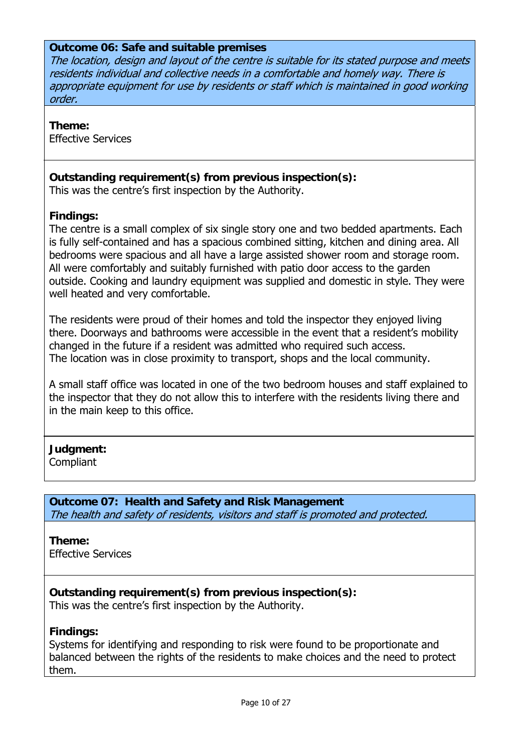#### **Outcome 06: Safe and suitable premises**

The location, design and layout of the centre is suitable for its stated purpose and meets residents individual and collective needs in a comfortable and homely way. There is appropriate equipment for use by residents or staff which is maintained in good working order.

#### **Theme:**

Effective Services

#### **Outstanding requirement(s) from previous inspection(s):**

This was the centre's first inspection by the Authority.

#### **Findings:**

The centre is a small complex of six single story one and two bedded apartments. Each is fully self-contained and has a spacious combined sitting, kitchen and dining area. All bedrooms were spacious and all have a large assisted shower room and storage room. All were comfortably and suitably furnished with patio door access to the garden outside. Cooking and laundry equipment was supplied and domestic in style. They were well heated and very comfortable.

The residents were proud of their homes and told the inspector they enjoyed living there. Doorways and bathrooms were accessible in the event that a resident's mobility changed in the future if a resident was admitted who required such access. The location was in close proximity to transport, shops and the local community.

A small staff office was located in one of the two bedroom houses and staff explained to the inspector that they do not allow this to interfere with the residents living there and in the main keep to this office.

#### **Judgment:**

**Compliant** 

**Outcome 07: Health and Safety and Risk Management**  The health and safety of residents, visitors and staff is promoted and protected.

#### **Theme:**

Effective Services

**Outstanding requirement(s) from previous inspection(s):** This was the centre's first inspection by the Authority.

#### **Findings:**

Systems for identifying and responding to risk were found to be proportionate and balanced between the rights of the residents to make choices and the need to protect them.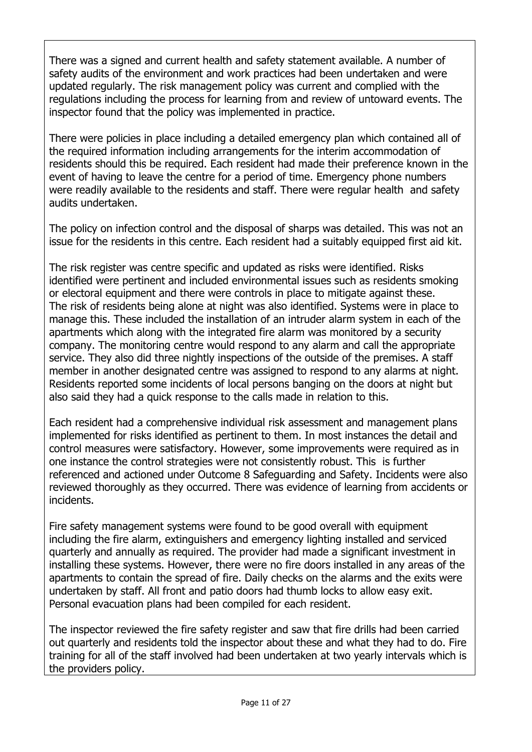There was a signed and current health and safety statement available. A number of safety audits of the environment and work practices had been undertaken and were updated regularly. The risk management policy was current and complied with the regulations including the process for learning from and review of untoward events. The inspector found that the policy was implemented in practice.

There were policies in place including a detailed emergency plan which contained all of the required information including arrangements for the interim accommodation of residents should this be required. Each resident had made their preference known in the event of having to leave the centre for a period of time. Emergency phone numbers were readily available to the residents and staff. There were regular health and safety audits undertaken.

The policy on infection control and the disposal of sharps was detailed. This was not an issue for the residents in this centre. Each resident had a suitably equipped first aid kit.

The risk register was centre specific and updated as risks were identified. Risks identified were pertinent and included environmental issues such as residents smoking or electoral equipment and there were controls in place to mitigate against these. The risk of residents being alone at night was also identified. Systems were in place to manage this. These included the installation of an intruder alarm system in each of the apartments which along with the integrated fire alarm was monitored by a security company. The monitoring centre would respond to any alarm and call the appropriate service. They also did three nightly inspections of the outside of the premises. A staff member in another designated centre was assigned to respond to any alarms at night. Residents reported some incidents of local persons banging on the doors at night but also said they had a quick response to the calls made in relation to this.

Each resident had a comprehensive individual risk assessment and management plans implemented for risks identified as pertinent to them. In most instances the detail and control measures were satisfactory. However, some improvements were required as in one instance the control strategies were not consistently robust. This is further referenced and actioned under Outcome 8 Safeguarding and Safety. Incidents were also reviewed thoroughly as they occurred. There was evidence of learning from accidents or incidents.

Fire safety management systems were found to be good overall with equipment including the fire alarm, extinguishers and emergency lighting installed and serviced quarterly and annually as required. The provider had made a significant investment in installing these systems. However, there were no fire doors installed in any areas of the apartments to contain the spread of fire. Daily checks on the alarms and the exits were undertaken by staff. All front and patio doors had thumb locks to allow easy exit. Personal evacuation plans had been compiled for each resident.

The inspector reviewed the fire safety register and saw that fire drills had been carried out quarterly and residents told the inspector about these and what they had to do. Fire training for all of the staff involved had been undertaken at two yearly intervals which is the providers policy.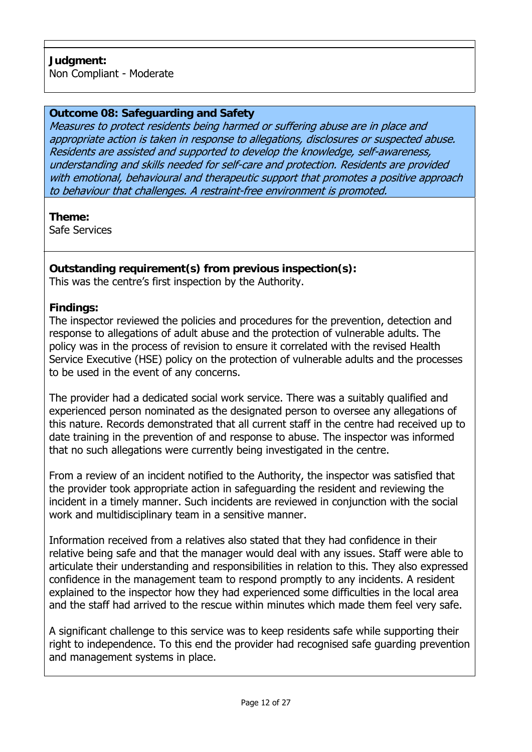#### **Outcome 08: Safeguarding and Safety**

Measures to protect residents being harmed or suffering abuse are in place and appropriate action is taken in response to allegations, disclosures or suspected abuse. Residents are assisted and supported to develop the knowledge, self-awareness, understanding and skills needed for self-care and protection. Residents are provided with emotional, behavioural and therapeutic support that promotes a positive approach to behaviour that challenges. A restraint-free environment is promoted.

**Theme:**  Safe Services

# **Outstanding requirement(s) from previous inspection(s):**

This was the centre's first inspection by the Authority.

#### **Findings:**

The inspector reviewed the policies and procedures for the prevention, detection and response to allegations of adult abuse and the protection of vulnerable adults. The policy was in the process of revision to ensure it correlated with the revised Health Service Executive (HSE) policy on the protection of vulnerable adults and the processes to be used in the event of any concerns.

The provider had a dedicated social work service. There was a suitably qualified and experienced person nominated as the designated person to oversee any allegations of this nature. Records demonstrated that all current staff in the centre had received up to date training in the prevention of and response to abuse. The inspector was informed that no such allegations were currently being investigated in the centre.

From a review of an incident notified to the Authority, the inspector was satisfied that the provider took appropriate action in safeguarding the resident and reviewing the incident in a timely manner. Such incidents are reviewed in conjunction with the social work and multidisciplinary team in a sensitive manner.

Information received from a relatives also stated that they had confidence in their relative being safe and that the manager would deal with any issues. Staff were able to articulate their understanding and responsibilities in relation to this. They also expressed confidence in the management team to respond promptly to any incidents. A resident explained to the inspector how they had experienced some difficulties in the local area and the staff had arrived to the rescue within minutes which made them feel very safe.

A significant challenge to this service was to keep residents safe while supporting their right to independence. To this end the provider had recognised safe guarding prevention and management systems in place.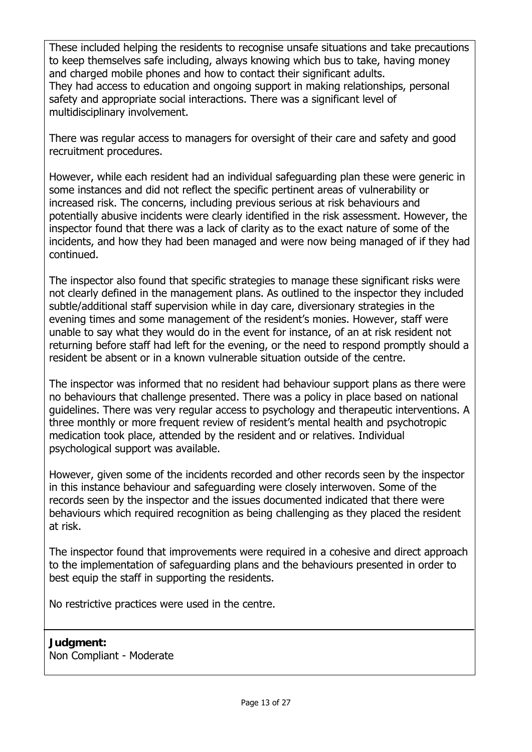These included helping the residents to recognise unsafe situations and take precautions to keep themselves safe including, always knowing which bus to take, having money and charged mobile phones and how to contact their significant adults. They had access to education and ongoing support in making relationships, personal safety and appropriate social interactions. There was a significant level of multidisciplinary involvement.

There was regular access to managers for oversight of their care and safety and good recruitment procedures.

However, while each resident had an individual safeguarding plan these were generic in some instances and did not reflect the specific pertinent areas of vulnerability or increased risk. The concerns, including previous serious at risk behaviours and potentially abusive incidents were clearly identified in the risk assessment. However, the inspector found that there was a lack of clarity as to the exact nature of some of the incidents, and how they had been managed and were now being managed of if they had continued.

The inspector also found that specific strategies to manage these significant risks were not clearly defined in the management plans. As outlined to the inspector they included subtle/additional staff supervision while in day care, diversionary strategies in the evening times and some management of the resident's monies. However, staff were unable to say what they would do in the event for instance, of an at risk resident not returning before staff had left for the evening, or the need to respond promptly should a resident be absent or in a known vulnerable situation outside of the centre.

The inspector was informed that no resident had behaviour support plans as there were no behaviours that challenge presented. There was a policy in place based on national guidelines. There was very regular access to psychology and therapeutic interventions. A three monthly or more frequent review of resident's mental health and psychotropic medication took place, attended by the resident and or relatives. Individual psychological support was available.

However, given some of the incidents recorded and other records seen by the inspector in this instance behaviour and safeguarding were closely interwoven. Some of the records seen by the inspector and the issues documented indicated that there were behaviours which required recognition as being challenging as they placed the resident at risk.

The inspector found that improvements were required in a cohesive and direct approach to the implementation of safeguarding plans and the behaviours presented in order to best equip the staff in supporting the residents.

No restrictive practices were used in the centre.

**Judgment:** Non Compliant - Moderate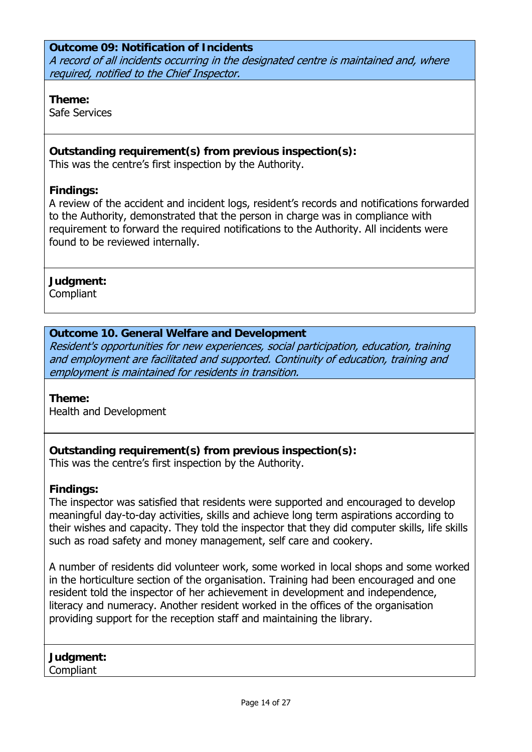#### **Outcome 09: Notification of Incidents**  A record of all incidents occurring in the designated centre is maintained and, where required, notified to the Chief Inspector.

#### **Theme:**

Safe Services

### **Outstanding requirement(s) from previous inspection(s):**

This was the centre's first inspection by the Authority.

#### **Findings:**

A review of the accident and incident logs, resident's records and notifications forwarded to the Authority, demonstrated that the person in charge was in compliance with requirement to forward the required notifications to the Authority. All incidents were found to be reviewed internally.

#### **Judgment:**

Compliant

# **Outcome 10. General Welfare and Development**

Resident's opportunities for new experiences, social participation, education, training and employment are facilitated and supported. Continuity of education, training and employment is maintained for residents in transition.

#### **Theme:**

Health and Development

# **Outstanding requirement(s) from previous inspection(s):**

This was the centre's first inspection by the Authority.

#### **Findings:**

The inspector was satisfied that residents were supported and encouraged to develop meaningful day-to-day activities, skills and achieve long term aspirations according to their wishes and capacity. They told the inspector that they did computer skills, life skills such as road safety and money management, self care and cookery.

A number of residents did volunteer work, some worked in local shops and some worked in the horticulture section of the organisation. Training had been encouraged and one resident told the inspector of her achievement in development and independence, literacy and numeracy. Another resident worked in the offices of the organisation providing support for the reception staff and maintaining the library.

**Judgment: Compliant**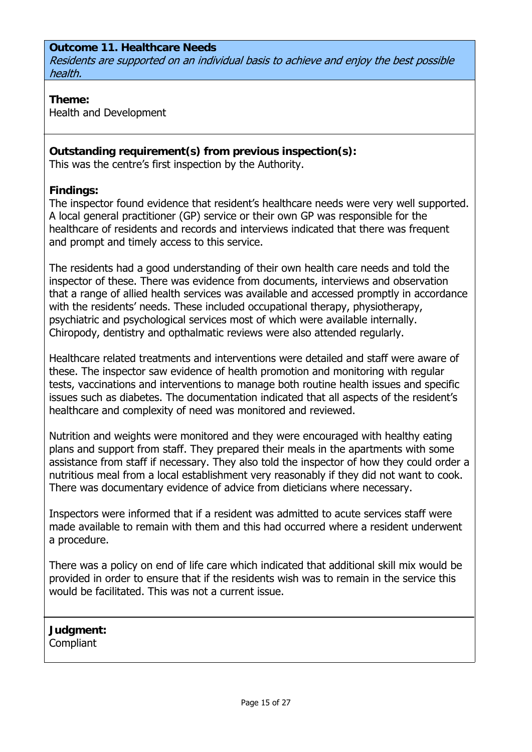#### **Outcome 11. Healthcare Needs**  Residents are supported on an individual basis to achieve and enjoy the best possible health.

#### **Theme:**

Health and Development

#### **Outstanding requirement(s) from previous inspection(s):**

This was the centre's first inspection by the Authority.

#### **Findings:**

The inspector found evidence that resident's healthcare needs were very well supported. A local general practitioner (GP) service or their own GP was responsible for the healthcare of residents and records and interviews indicated that there was frequent and prompt and timely access to this service.

The residents had a good understanding of their own health care needs and told the inspector of these. There was evidence from documents, interviews and observation that a range of allied health services was available and accessed promptly in accordance with the residents' needs. These included occupational therapy, physiotherapy, psychiatric and psychological services most of which were available internally. Chiropody, dentistry and opthalmatic reviews were also attended regularly.

Healthcare related treatments and interventions were detailed and staff were aware of these. The inspector saw evidence of health promotion and monitoring with regular tests, vaccinations and interventions to manage both routine health issues and specific issues such as diabetes. The documentation indicated that all aspects of the resident's healthcare and complexity of need was monitored and reviewed.

Nutrition and weights were monitored and they were encouraged with healthy eating plans and support from staff. They prepared their meals in the apartments with some assistance from staff if necessary. They also told the inspector of how they could order a nutritious meal from a local establishment very reasonably if they did not want to cook. There was documentary evidence of advice from dieticians where necessary.

Inspectors were informed that if a resident was admitted to acute services staff were made available to remain with them and this had occurred where a resident underwent a procedure.

There was a policy on end of life care which indicated that additional skill mix would be provided in order to ensure that if the residents wish was to remain in the service this would be facilitated. This was not a current issue.

**Judgment: Compliant**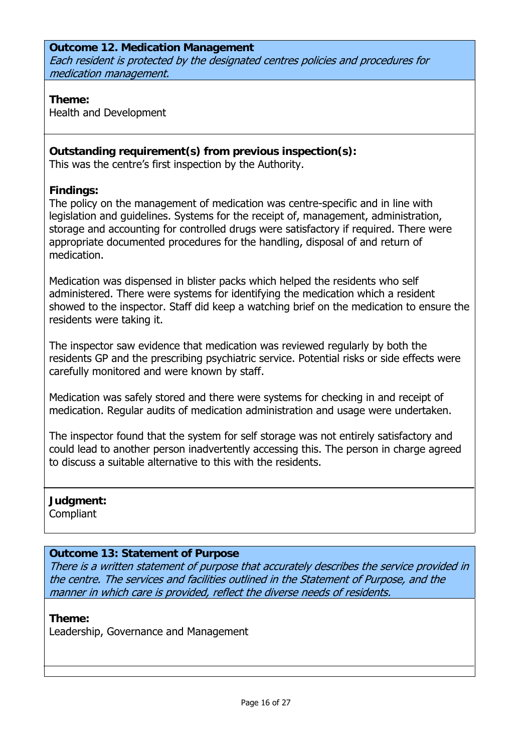#### **Outcome 12. Medication Management**  Each resident is protected by the designated centres policies and procedures for medication management.

#### **Theme:**

Health and Development

#### **Outstanding requirement(s) from previous inspection(s):**

This was the centre's first inspection by the Authority.

#### **Findings:**

The policy on the management of medication was centre-specific and in line with legislation and guidelines. Systems for the receipt of, management, administration, storage and accounting for controlled drugs were satisfactory if required. There were appropriate documented procedures for the handling, disposal of and return of medication.

Medication was dispensed in blister packs which helped the residents who self administered. There were systems for identifying the medication which a resident showed to the inspector. Staff did keep a watching brief on the medication to ensure the residents were taking it.

The inspector saw evidence that medication was reviewed regularly by both the residents GP and the prescribing psychiatric service. Potential risks or side effects were carefully monitored and were known by staff.

Medication was safely stored and there were systems for checking in and receipt of medication. Regular audits of medication administration and usage were undertaken.

The inspector found that the system for self storage was not entirely satisfactory and could lead to another person inadvertently accessing this. The person in charge agreed to discuss a suitable alternative to this with the residents.

**Judgment: Compliant** 

#### **Outcome 13: Statement of Purpose**

There is a written statement of purpose that accurately describes the service provided in the centre. The services and facilities outlined in the Statement of Purpose, and the manner in which care is provided, reflect the diverse needs of residents.

**Theme:** 

Leadership, Governance and Management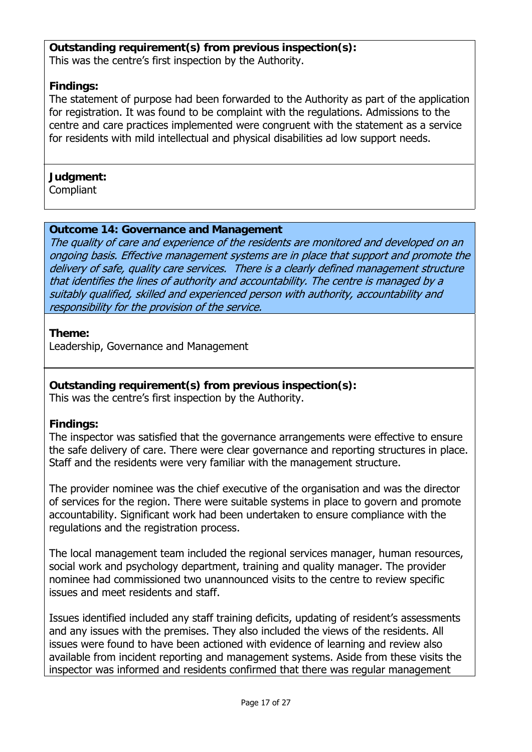#### **Outstanding requirement(s) from previous inspection(s):** This was the centre's first inspection by the Authority.

#### **Findings:**

The statement of purpose had been forwarded to the Authority as part of the application for registration. It was found to be complaint with the regulations. Admissions to the centre and care practices implemented were congruent with the statement as a service for residents with mild intellectual and physical disabilities ad low support needs.

#### **Judgment:**

Compliant

#### **Outcome 14: Governance and Management**

The quality of care and experience of the residents are monitored and developed on an ongoing basis. Effective management systems are in place that support and promote the delivery of safe, quality care services. There is a clearly defined management structure that identifies the lines of authority and accountability. The centre is managed by a suitably qualified, skilled and experienced person with authority, accountability and responsibility for the provision of the service.

#### **Theme:**

Leadership, Governance and Management

# **Outstanding requirement(s) from previous inspection(s):**

This was the centre's first inspection by the Authority.

#### **Findings:**

The inspector was satisfied that the governance arrangements were effective to ensure the safe delivery of care. There were clear governance and reporting structures in place. Staff and the residents were very familiar with the management structure.

The provider nominee was the chief executive of the organisation and was the director of services for the region. There were suitable systems in place to govern and promote accountability. Significant work had been undertaken to ensure compliance with the regulations and the registration process.

The local management team included the regional services manager, human resources, social work and psychology department, training and quality manager. The provider nominee had commissioned two unannounced visits to the centre to review specific issues and meet residents and staff.

Issues identified included any staff training deficits, updating of resident's assessments and any issues with the premises. They also included the views of the residents. All issues were found to have been actioned with evidence of learning and review also available from incident reporting and management systems. Aside from these visits the inspector was informed and residents confirmed that there was regular management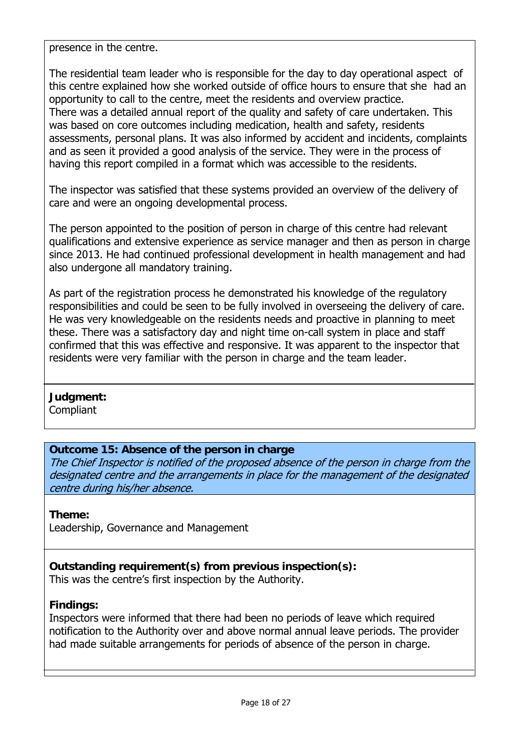presence in the centre.

The residential team leader who is responsible for the day to day operational aspect of this centre explained how she worked outside of office hours to ensure that she had an opportunity to call to the centre, meet the residents and overview practice. There was a detailed annual report of the quality and safety of care undertaken. This was based on core outcomes including medication, health and safety, residents assessments, personal plans. It was also informed by accident and incidents, complaints and as seen it provided a good analysis of the service. They were in the process of having this report compiled in a format which was accessible to the residents.

The inspector was satisfied that these systems provided an overview of the delivery of care and were an ongoing developmental process.

The person appointed to the position of person in charge of this centre had relevant qualifications and extensive experience as service manager and then as person in charge since 2013. He had continued professional development in health management and had also undergone all mandatory training.

As part of the registration process he demonstrated his knowledge of the regulatory responsibilities and could be seen to be fully involved in overseeing the delivery of care. He was very knowledgeable on the residents needs and proactive in planning to meet these. There was a satisfactory day and night time on-call system in place and staff confirmed that this was effective and responsive. It was apparent to the inspector that residents were very familiar with the person in charge and the team leader.

#### **Judgment:**

**Compliant** 

#### **Outcome 15: Absence of the person in charge**

The Chief Inspector is notified of the proposed absence of the person in charge from the designated centre and the arrangements in place for the management of the designated centre during his/her absence.

#### **Theme:**

Leadership, Governance and Management

# **Outstanding requirement(s) from previous inspection(s):**

This was the centre's first inspection by the Authority.

# **Findings:**

Inspectors were informed that there had been no periods of leave which required notification to the Authority over and above normal annual leave periods. The provider had made suitable arrangements for periods of absence of the person in charge.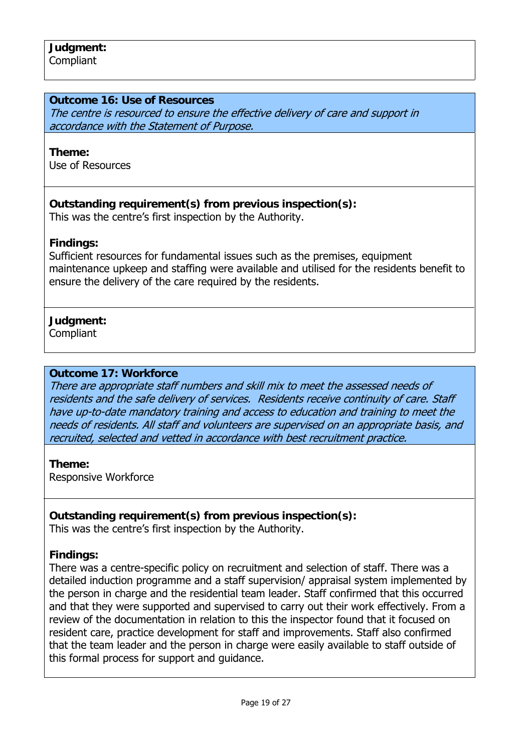#### **Outcome 16: Use of Resources**

The centre is resourced to ensure the effective delivery of care and support in accordance with the Statement of Purpose.

#### **Theme:**

Use of Resources

#### **Outstanding requirement(s) from previous inspection(s):** This was the centre's first inspection by the Authority.

#### **Findings:**

Sufficient resources for fundamental issues such as the premises, equipment maintenance upkeep and staffing were available and utilised for the residents benefit to ensure the delivery of the care required by the residents.

#### **Judgment:**

**Compliant** 

#### **Outcome 17: Workforce**

There are appropriate staff numbers and skill mix to meet the assessed needs of residents and the safe delivery of services. Residents receive continuity of care. Staff have up-to-date mandatory training and access to education and training to meet the needs of residents. All staff and volunteers are supervised on an appropriate basis, and recruited, selected and vetted in accordance with best recruitment practice.

**Theme:**  Responsive Workforce

# **Outstanding requirement(s) from previous inspection(s):**

This was the centre's first inspection by the Authority.

#### **Findings:**

There was a centre-specific policy on recruitment and selection of staff. There was a detailed induction programme and a staff supervision/ appraisal system implemented by the person in charge and the residential team leader. Staff confirmed that this occurred and that they were supported and supervised to carry out their work effectively. From a review of the documentation in relation to this the inspector found that it focused on resident care, practice development for staff and improvements. Staff also confirmed that the team leader and the person in charge were easily available to staff outside of this formal process for support and guidance.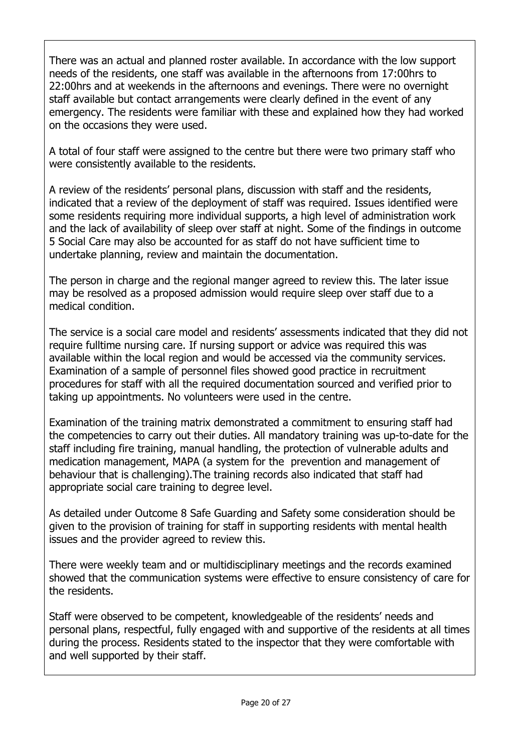There was an actual and planned roster available. In accordance with the low support needs of the residents, one staff was available in the afternoons from 17:00hrs to 22:00hrs and at weekends in the afternoons and evenings. There were no overnight staff available but contact arrangements were clearly defined in the event of any emergency. The residents were familiar with these and explained how they had worked on the occasions they were used.

A total of four staff were assigned to the centre but there were two primary staff who were consistently available to the residents.

A review of the residents' personal plans, discussion with staff and the residents, indicated that a review of the deployment of staff was required. Issues identified were some residents requiring more individual supports, a high level of administration work and the lack of availability of sleep over staff at night. Some of the findings in outcome 5 Social Care may also be accounted for as staff do not have sufficient time to undertake planning, review and maintain the documentation.

The person in charge and the regional manger agreed to review this. The later issue may be resolved as a proposed admission would require sleep over staff due to a medical condition.

The service is a social care model and residents' assessments indicated that they did not require fulltime nursing care. If nursing support or advice was required this was available within the local region and would be accessed via the community services. Examination of a sample of personnel files showed good practice in recruitment procedures for staff with all the required documentation sourced and verified prior to taking up appointments. No volunteers were used in the centre.

Examination of the training matrix demonstrated a commitment to ensuring staff had the competencies to carry out their duties. All mandatory training was up-to-date for the staff including fire training, manual handling, the protection of vulnerable adults and medication management, MAPA (a system for the prevention and management of behaviour that is challenging).The training records also indicated that staff had appropriate social care training to degree level.

As detailed under Outcome 8 Safe Guarding and Safety some consideration should be given to the provision of training for staff in supporting residents with mental health issues and the provider agreed to review this.

There were weekly team and or multidisciplinary meetings and the records examined showed that the communication systems were effective to ensure consistency of care for the residents.

Staff were observed to be competent, knowledgeable of the residents' needs and personal plans, respectful, fully engaged with and supportive of the residents at all times during the process. Residents stated to the inspector that they were comfortable with and well supported by their staff.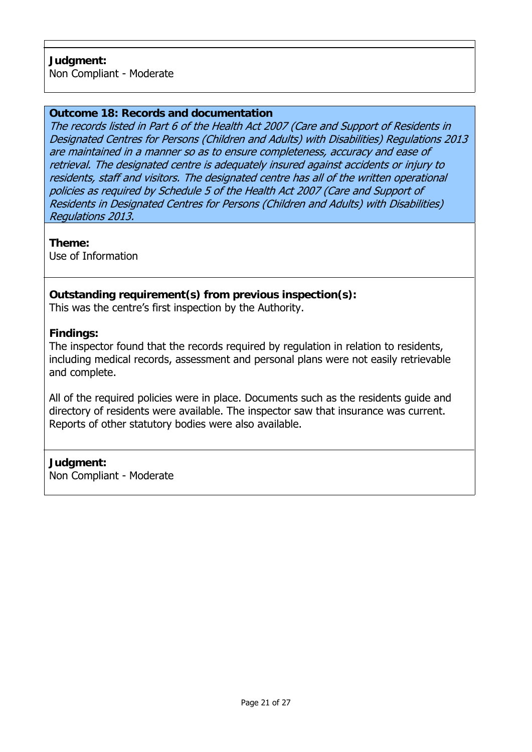#### **Outcome 18: Records and documentation**

The records listed in Part 6 of the Health Act 2007 (Care and Support of Residents in Designated Centres for Persons (Children and Adults) with Disabilities) Regulations 2013 are maintained in a manner so as to ensure completeness, accuracy and ease of retrieval. The designated centre is adequately insured against accidents or injury to residents, staff and visitors. The designated centre has all of the written operational policies as required by Schedule 5 of the Health Act 2007 (Care and Support of Residents in Designated Centres for Persons (Children and Adults) with Disabilities) Regulations 2013.

**Theme:** 

Use of Information

# **Outstanding requirement(s) from previous inspection(s):**

This was the centre's first inspection by the Authority.

#### **Findings:**

The inspector found that the records required by regulation in relation to residents, including medical records, assessment and personal plans were not easily retrievable and complete.

All of the required policies were in place. Documents such as the residents guide and directory of residents were available. The inspector saw that insurance was current. Reports of other statutory bodies were also available.

#### **Judgment:**

Non Compliant - Moderate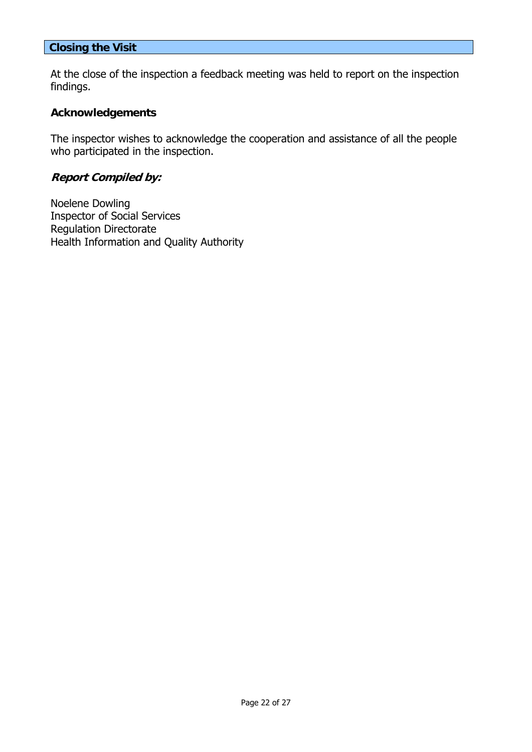#### **Closing the Visit**

At the close of the inspection a feedback meeting was held to report on the inspection findings.

#### **Acknowledgements**

The inspector wishes to acknowledge the cooperation and assistance of all the people who participated in the inspection.

### **Report Compiled by:**

Noelene Dowling Inspector of Social Services Regulation Directorate Health Information and Quality Authority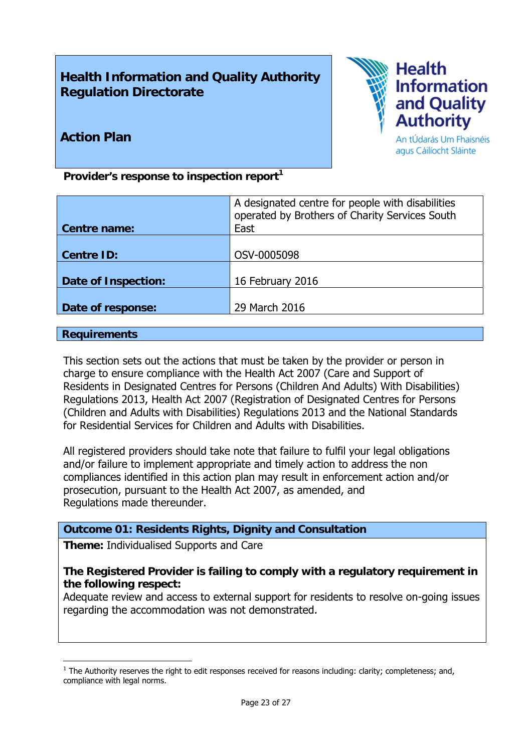# **Health Information and Quality Authority Regulation Directorate**



# **Action Plan**

An tÚdarás Um Fhaisnéis agus Cáilíocht Sláinte

Provider's response to inspection report<sup>1</sup>

| Centre name:        | A designated centre for people with disabilities<br>operated by Brothers of Charity Services South<br>East |
|---------------------|------------------------------------------------------------------------------------------------------------|
|                     |                                                                                                            |
| <b>Centre ID:</b>   | OSV-0005098                                                                                                |
|                     |                                                                                                            |
| Date of Inspection: | 16 February 2016                                                                                           |
|                     |                                                                                                            |
| Date of response:   | 29 March 2016                                                                                              |
|                     |                                                                                                            |

#### **Requirements**

This section sets out the actions that must be taken by the provider or person in charge to ensure compliance with the Health Act 2007 (Care and Support of Residents in Designated Centres for Persons (Children And Adults) With Disabilities) Regulations 2013, Health Act 2007 (Registration of Designated Centres for Persons (Children and Adults with Disabilities) Regulations 2013 and the National Standards for Residential Services for Children and Adults with Disabilities.

All registered providers should take note that failure to fulfil your legal obligations and/or failure to implement appropriate and timely action to address the non compliances identified in this action plan may result in enforcement action and/or prosecution, pursuant to the Health Act 2007, as amended, and Regulations made thereunder.

#### **Outcome 01: Residents Rights, Dignity and Consultation**

**Theme:** Individualised Supports and Care

#### **The Registered Provider is failing to comply with a regulatory requirement in the following respect:**

Adequate review and access to external support for residents to resolve on-going issues regarding the accommodation was not demonstrated.

<sup>1</sup>  $<sup>1</sup>$  The Authority reserves the right to edit responses received for reasons including: clarity; completeness; and,</sup> compliance with legal norms.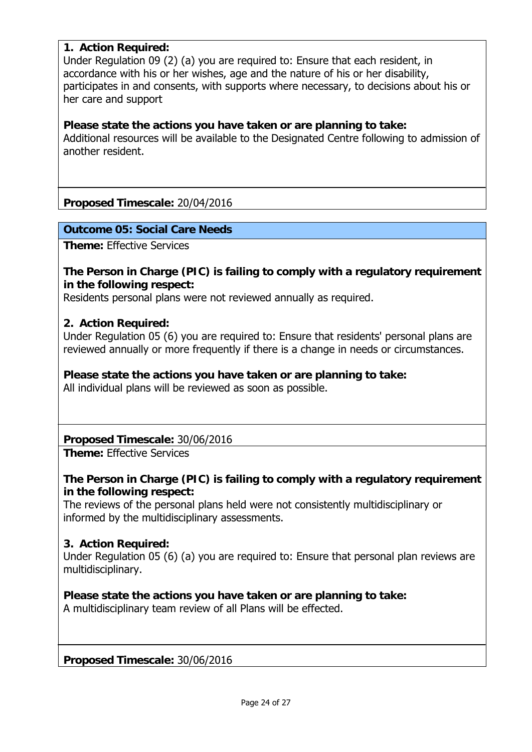#### **1. Action Required:**

Under Regulation 09 (2) (a) you are required to: Ensure that each resident, in accordance with his or her wishes, age and the nature of his or her disability, participates in and consents, with supports where necessary, to decisions about his or her care and support

#### **Please state the actions you have taken or are planning to take:**

Additional resources will be available to the Designated Centre following to admission of another resident.

#### **Proposed Timescale:** 20/04/2016

#### **Outcome 05: Social Care Needs**

**Theme:** Effective Services

#### **The Person in Charge (PIC) is failing to comply with a regulatory requirement in the following respect:**

Residents personal plans were not reviewed annually as required.

#### **2. Action Required:**

Under Regulation 05 (6) you are required to: Ensure that residents' personal plans are reviewed annually or more frequently if there is a change in needs or circumstances.

# **Please state the actions you have taken or are planning to take:**

All individual plans will be reviewed as soon as possible.

**Proposed Timescale:** 30/06/2016

**Theme:** Effective Services

#### **The Person in Charge (PIC) is failing to comply with a regulatory requirement in the following respect:**

The reviews of the personal plans held were not consistently multidisciplinary or informed by the multidisciplinary assessments.

#### **3. Action Required:**

Under Regulation 05 (6) (a) you are required to: Ensure that personal plan reviews are multidisciplinary.

#### **Please state the actions you have taken or are planning to take:**

A multidisciplinary team review of all Plans will be effected.

**Proposed Timescale:** 30/06/2016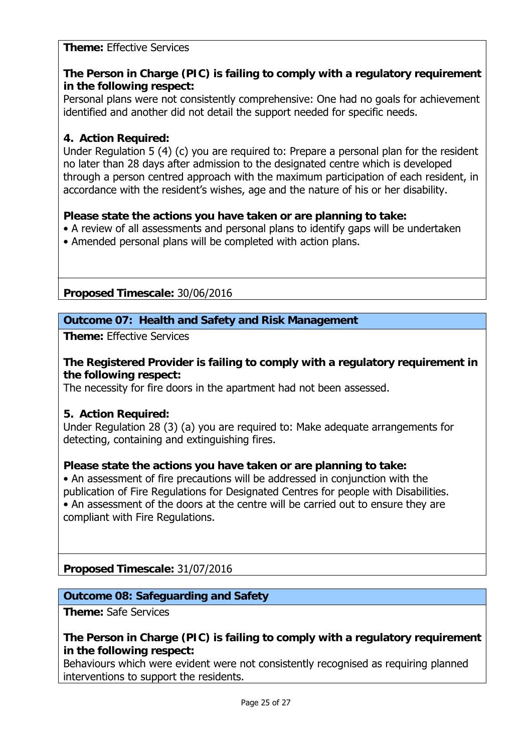#### **Theme:** Effective Services

# **The Person in Charge (PIC) is failing to comply with a regulatory requirement in the following respect:**

Personal plans were not consistently comprehensive: One had no goals for achievement identified and another did not detail the support needed for specific needs.

#### **4. Action Required:**

Under Regulation 5 (4) (c) you are required to: Prepare a personal plan for the resident no later than 28 days after admission to the designated centre which is developed through a person centred approach with the maximum participation of each resident, in accordance with the resident's wishes, age and the nature of his or her disability.

#### **Please state the actions you have taken or are planning to take:**

- A review of all assessments and personal plans to identify gaps will be undertaken
- Amended personal plans will be completed with action plans.

**Proposed Timescale:** 30/06/2016

#### **Outcome 07: Health and Safety and Risk Management**

**Theme:** Effective Services

#### **The Registered Provider is failing to comply with a regulatory requirement in the following respect:**

The necessity for fire doors in the apartment had not been assessed.

#### **5. Action Required:**

Under Regulation 28 (3) (a) you are required to: Make adequate arrangements for detecting, containing and extinguishing fires.

#### **Please state the actions you have taken or are planning to take:**

• An assessment of fire precautions will be addressed in conjunction with the publication of Fire Regulations for Designated Centres for people with Disabilities. • An assessment of the doors at the centre will be carried out to ensure they are compliant with Fire Regulations.

**Proposed Timescale:** 31/07/2016

# **Outcome 08: Safeguarding and Safety**

**Theme:** Safe Services

#### **The Person in Charge (PIC) is failing to comply with a regulatory requirement in the following respect:**

Behaviours which were evident were not consistently recognised as requiring planned interventions to support the residents.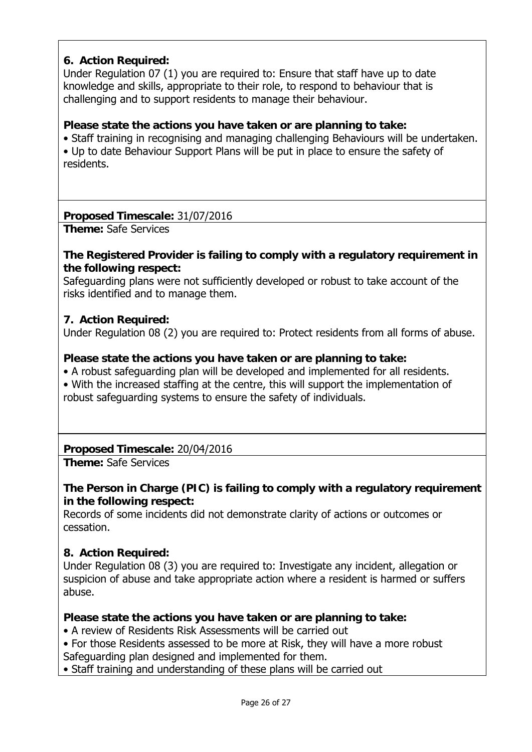# **6. Action Required:**

Under Regulation 07 (1) you are required to: Ensure that staff have up to date knowledge and skills, appropriate to their role, to respond to behaviour that is challenging and to support residents to manage their behaviour.

#### **Please state the actions you have taken or are planning to take:**

• Staff training in recognising and managing challenging Behaviours will be undertaken. • Up to date Behaviour Support Plans will be put in place to ensure the safety of residents.

#### **Proposed Timescale:** 31/07/2016

**Theme:** Safe Services

#### **The Registered Provider is failing to comply with a regulatory requirement in the following respect:**

Safeguarding plans were not sufficiently developed or robust to take account of the risks identified and to manage them.

#### **7. Action Required:**

Under Regulation 08 (2) you are required to: Protect residents from all forms of abuse.

#### **Please state the actions you have taken or are planning to take:**

• A robust safeguarding plan will be developed and implemented for all residents.

• With the increased staffing at the centre, this will support the implementation of robust safeguarding systems to ensure the safety of individuals.

#### **Proposed Timescale:** 20/04/2016

**Theme:** Safe Services

# **The Person in Charge (PIC) is failing to comply with a regulatory requirement in the following respect:**

Records of some incidents did not demonstrate clarity of actions or outcomes or cessation.

#### **8. Action Required:**

Under Regulation 08 (3) you are required to: Investigate any incident, allegation or suspicion of abuse and take appropriate action where a resident is harmed or suffers abuse.

#### **Please state the actions you have taken or are planning to take:**

- A review of Residents Risk Assessments will be carried out
- For those Residents assessed to be more at Risk, they will have a more robust
- Safeguarding plan designed and implemented for them.

• Staff training and understanding of these plans will be carried out